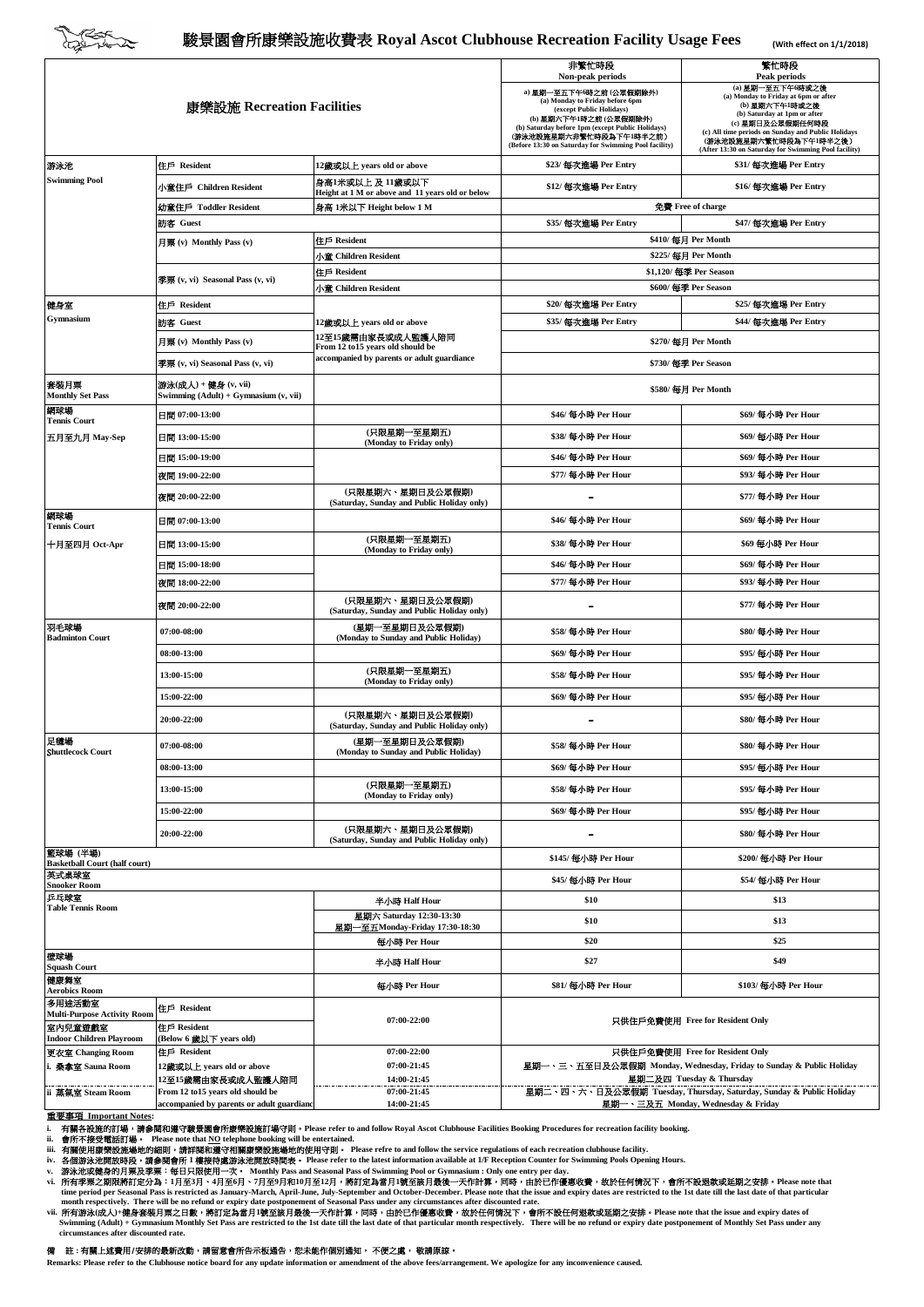

## 駿景園會所康樂設施收費表 **Royal Ascot Clubhouse Recreation Facility Usage Fees**

**(With effect on 1/1/2018)**

| 康樂設施 Recreation Facilities                                                       |                                                               |                                                                                | 非繁忙時段<br>Non-peak periods<br>a) 星期一至五下午6時之前 (公眾假期除外)                                                                                                                                                                          | 繁忙時段<br>Peak periods<br>(a) 星期一至五下午6時或之後                                                                                                                                                                                                           |
|----------------------------------------------------------------------------------|---------------------------------------------------------------|--------------------------------------------------------------------------------|-------------------------------------------------------------------------------------------------------------------------------------------------------------------------------------------------------------------------------|----------------------------------------------------------------------------------------------------------------------------------------------------------------------------------------------------------------------------------------------------|
|                                                                                  |                                                               |                                                                                | (a) Monday to Friday before 6pm<br>(except Public Holidays)<br>(b) 星期六下午1時之前 (公眾假期除外)<br>(b) Saturday before 1pm (except Public Holidays)<br>(游泳池設施星期六非繁忙時段為下午1時半之前)<br>(Before 13:30 on Saturday for Swimming Pool facility) | (a) Monday to Friday at 6pm or after<br>(b) 星期六下午1時或之後<br>(b) Saturday at 1pm or after<br>(c) 星期日及公眾假期任何時段<br>(c) All time periods on Sunday and Public Holidays<br>(游泳池設施星期六繁忙時段為下午1時半之後)<br>(After 13:30 on Saturday for Swimming Pool facility) |
| 游泳池                                                                              | 住戶 Resident                                                   | 12歲或以上 years old or above                                                      | \$23/ 每次進場 Per Entry                                                                                                                                                                                                          | \$31/ 每次進場 Per Entry                                                                                                                                                                                                                               |
| <b>Swimming Pool</b>                                                             | 小童住戶 Children Resident                                        | 身高1米或以上 及 11歲或以下<br>Height at 1 M or above and 11 years old or below           | \$16/ 每次進場 Per Entry<br>\$12/ 每次進場 Per Entry                                                                                                                                                                                  |                                                                                                                                                                                                                                                    |
|                                                                                  | 幼童住戶 Toddler Resident                                         | 身高 1米以下 Height below 1 M                                                       |                                                                                                                                                                                                                               | 免費 Free of charge                                                                                                                                                                                                                                  |
|                                                                                  | 前客 Guest                                                      |                                                                                | \$35/ 每次進場 Per Entry<br>\$47/ 每次進場 Per Entry                                                                                                                                                                                  |                                                                                                                                                                                                                                                    |
|                                                                                  | 月票 (v) Monthly Pass (v)                                       | 住戶 Resident                                                                    | \$410/每月 Per Month<br>\$225/ 每月 Per Month                                                                                                                                                                                     |                                                                                                                                                                                                                                                    |
|                                                                                  | 季票 (v, vi) Seasonal Pass (v, vi)                              | 小童 Children Resident<br>住戶 Resident                                            | \$1,120/ 每季 Per Season                                                                                                                                                                                                        |                                                                                                                                                                                                                                                    |
|                                                                                  |                                                               | 小童 Children Resident                                                           | \$600/每季 Per Season                                                                                                                                                                                                           |                                                                                                                                                                                                                                                    |
| 健身室<br>Gymnasium                                                                 | 住戶 Resident                                                   |                                                                                | \$20/ 每次進場 Per Entry                                                                                                                                                                                                          | \$25/ 每次進場 Per Entry                                                                                                                                                                                                                               |
|                                                                                  | 訪客 Guest                                                      | 12歲或以上 years old or above                                                      | \$35/ 每次進場 Per Entry                                                                                                                                                                                                          | \$44/ 每次進場 Per Entry                                                                                                                                                                                                                               |
|                                                                                  | 月票 (v) Monthly Pass (v)                                       | 12至15歲需由家長或成人監護人陪同                                                             |                                                                                                                                                                                                                               | \$270/ 每月 Per Month                                                                                                                                                                                                                                |
|                                                                                  | 季粟 (v, vi) Seasonal Pass (v, vi)                              | From 12 to15 years old should be<br>accompanied by parents or adult guardiance | \$730/ 每季 Per Season                                                                                                                                                                                                          |                                                                                                                                                                                                                                                    |
| 套裝月票<br><b>Monthly Set Pass</b>                                                  | 游泳(成人) + 健身 (v, vii)<br>Swimming (Adult) + Gymnasium (v, vii) |                                                                                | \$580/ 每月 Per Month                                                                                                                                                                                                           |                                                                                                                                                                                                                                                    |
| 網球場<br><b>Tennis Court</b>                                                       | $\Box$ 07:00-13:00                                            |                                                                                | \$46/ 每小時 Per Hour                                                                                                                                                                                                            | \$69/ 每小時 Per Hour                                                                                                                                                                                                                                 |
| 五月至九月 May-Sep                                                                    | 日間 13:00-15:00                                                | (只限星期一至星期五)<br>(Monday to Friday only)                                         | \$38/ 每小時 Per Hour                                                                                                                                                                                                            | \$69/每小時 Per Hour                                                                                                                                                                                                                                  |
|                                                                                  | 日間 15:00-19:00                                                |                                                                                | \$46/ 每小時 Per Hour                                                                                                                                                                                                            | \$69/ 每小時 Per Hour                                                                                                                                                                                                                                 |
|                                                                                  | 夜間 19:00-22:00                                                |                                                                                | \$77/ 每小時 Per Hour                                                                                                                                                                                                            | \$93/ 每小時 Per Hour                                                                                                                                                                                                                                 |
|                                                                                  | 夜間 20:00-22:00                                                | (只限星期六、星期日及公眾假期)<br>(Saturday, Sunday and Public Holiday only)                 |                                                                                                                                                                                                                               | \$77/ 每小時 Per Hour                                                                                                                                                                                                                                 |
| 網球場<br><b>Tennis Court</b>                                                       | 日間 07:00-13:00                                                |                                                                                | \$46/ 每小時 Per Hour                                                                                                                                                                                                            | \$69/ 每小時 Per Hour                                                                                                                                                                                                                                 |
| 十月至四月 Oct-Apr                                                                    | 日間 13:00-15:00                                                | (只限星期一至星期五)<br>(Monday to Friday only)                                         | \$38/ 每小時 Per Hour                                                                                                                                                                                                            | \$69 每小時 Per Hour                                                                                                                                                                                                                                  |
|                                                                                  | 日間 15:00-18:00                                                |                                                                                | \$46/ 每小時 Per Hour                                                                                                                                                                                                            | \$69/ 每小時 Per Hour                                                                                                                                                                                                                                 |
|                                                                                  | 夜間 18:00-22:00                                                |                                                                                | \$77/ 每小時 Per Hour                                                                                                                                                                                                            | \$93/ 每小時 Per Hour                                                                                                                                                                                                                                 |
|                                                                                  | 夜間 20:00-22:00                                                | (只限星期六、星期日及公眾假期)<br>(Saturday, Sunday and Public Holiday only)                 |                                                                                                                                                                                                                               | \$77/ 每小時 Per Hour                                                                                                                                                                                                                                 |
| 羽毛球場<br><b>Badminton Court</b>                                                   | 07:00-08:00                                                   | (星期一至星期日及公眾假期)<br>(Monday to Sunday and Public Holiday)                        | \$58/ 每小時 Per Hour                                                                                                                                                                                                            | \$80/ 每小時 Per Hour                                                                                                                                                                                                                                 |
|                                                                                  | 08:00-13:00                                                   |                                                                                | \$69/ 每小時 Per Hour                                                                                                                                                                                                            | \$95/每小時 Per Hour                                                                                                                                                                                                                                  |
|                                                                                  | 13:00-15:00                                                   | (只限星期一至星期五)<br>(Monday to Friday only)                                         | \$58/ 每小時 Per Hour                                                                                                                                                                                                            | \$95/ 每小時 Per Hour                                                                                                                                                                                                                                 |
|                                                                                  | 15:00-22:00                                                   |                                                                                | \$69/ 每小時 Per Hour                                                                                                                                                                                                            | \$95/每小時 Per Hour                                                                                                                                                                                                                                  |
|                                                                                  | 20:00-22:00                                                   | (只限星期六、星期日及公眾假期)<br>(Saturday, Sunday and Public Holiday only)                 |                                                                                                                                                                                                                               | \$80/ 每小時 Per Hour                                                                                                                                                                                                                                 |
| 足禮場<br><b>Shuttlecock Court</b>                                                  | 07:00-08:00                                                   | (星期一至星期日及公眾假期)<br>(Monday to Sunday and Public Holiday)                        | \$58/ 每小時 Per Hour                                                                                                                                                                                                            | \$80/ 每小時 Per Hour                                                                                                                                                                                                                                 |
|                                                                                  | 08:00-13:00                                                   |                                                                                | \$69/ 每小時 Per Hour                                                                                                                                                                                                            | \$95/ 每小時 Per Hour                                                                                                                                                                                                                                 |
|                                                                                  | 13:00-15:00                                                   | (只限星期一至星期五)<br>(Monday to Friday only)                                         | \$58/ 每小時 Per Hour                                                                                                                                                                                                            | \$95/ 每小時 Per Hour                                                                                                                                                                                                                                 |
|                                                                                  | 15:00-22:00                                                   |                                                                                | \$69/ 每小時 Per Hour                                                                                                                                                                                                            | \$95/ 每小時 Per Hour                                                                                                                                                                                                                                 |
|                                                                                  | 20:00-22:00                                                   | (只限星期六、星期日及公眾假期)<br>(Saturday, Sunday and Public Holiday only)                 | ۰                                                                                                                                                                                                                             | \$80/ 每小時 Per Hour                                                                                                                                                                                                                                 |
| 籃球場 (半場)<br><b>Basketball Court (half court)</b>                                 |                                                               |                                                                                | \$145/ 每小時 Per Hour                                                                                                                                                                                                           | \$200/ 每小時 Per Hour                                                                                                                                                                                                                                |
| 英式桌球室<br><b>Snooker Room</b>                                                     |                                                               |                                                                                | \$45/ 每小時 Per Hour                                                                                                                                                                                                            | \$54/ 每小時 Per Hour                                                                                                                                                                                                                                 |
| 乒乓球室<br><b>Table Tennis Room</b>                                                 |                                                               | 半小時 Half Hour                                                                  | \$10                                                                                                                                                                                                                          | \$13                                                                                                                                                                                                                                               |
|                                                                                  |                                                               | 星期六 Saturday 12:30-13:30                                                       | \$10                                                                                                                                                                                                                          | \$13                                                                                                                                                                                                                                               |
|                                                                                  |                                                               | 星期一至五Monday-Friday 17:30-18:30<br>每小時 Per Hour                                 | \$20                                                                                                                                                                                                                          | \$25                                                                                                                                                                                                                                               |
| 壁球場<br><b>Squash Court</b>                                                       |                                                               | 半小時 Half Hour                                                                  | \$27                                                                                                                                                                                                                          | \$49                                                                                                                                                                                                                                               |
| 健康舞室<br><b>Aerobics Room</b>                                                     |                                                               | 每小時 Per Hour                                                                   | \$81/ 每小時 Per Hour                                                                                                                                                                                                            | \$103/ 每小時 Per Hour                                                                                                                                                                                                                                |
| 多用途活動室                                                                           | 住戶 Resident                                                   |                                                                                |                                                                                                                                                                                                                               |                                                                                                                                                                                                                                                    |
| <b>Multi-Purpose Activity Room</b><br>室内兒童遊戲室<br><b>Indoor Children Playroom</b> | 住戶 Resident<br>(Below 6 歲以下 years old)                        | 07:00-22:00                                                                    | 只供住戶免費使用 Free for Resident Only                                                                                                                                                                                               |                                                                                                                                                                                                                                                    |
| 更衣室 Changing Room                                                                | 住戶 Resident                                                   | 07:00-22:00                                                                    |                                                                                                                                                                                                                               | 只供住戶免費使用 Free for Resident Only                                                                                                                                                                                                                    |
| 桑拿室 Sauna Room                                                                   | 12歲或以上 years old or above                                     | 07:00-21:45                                                                    |                                                                                                                                                                                                                               | 星期一、三、五至日及公眾假期 Monday, Wednesday, Friday to Sunday & Public Holiday                                                                                                                                                                                |
| ii 蒸氣室 Steam Room                                                                | 12至15歲需由家長或成人監護人陪同<br>From 12 to15 years old should be        | 14:00-21:45<br>07:00-21:45                                                     |                                                                                                                                                                                                                               | 星期二及四 Tuesday & Thursday<br>星期二、四、六、日及公眾假期 Tuesday, Thursday, Saturday, Sunday & Public Holiday                                                                                                                                                    |
|                                                                                  | accompanied by parents or adult guardianc                     | 14:00-21:45                                                                    |                                                                                                                                                                                                                               | 星期一、三及五 Monday, Wednesday & Friday                                                                                                                                                                                                                 |

重要事項 Important Notes:<br>i. 有關各設施的訂場・ 请参与関本建守総景園會所康樂設施訂場守則・Please refer to and follow Royal Ascot Clubhouse Facilities Booking Procedures for recreation facility booking.<br>ii. 有關各設施的訂場・ 開参 Please note that NO telephone bookin

 **circumstances after discounted rate.**

## 備註 **:** 有關上述費用/安排的最新改動,請留意會所告示板通告,恕未能作個別通知, 不便之處, 敬請原諒。

**Remarks: Please refer to the Clubhouse notice board for any update information or amendment of the above fees/arrangement. We apologize for any inconvenience caused.**